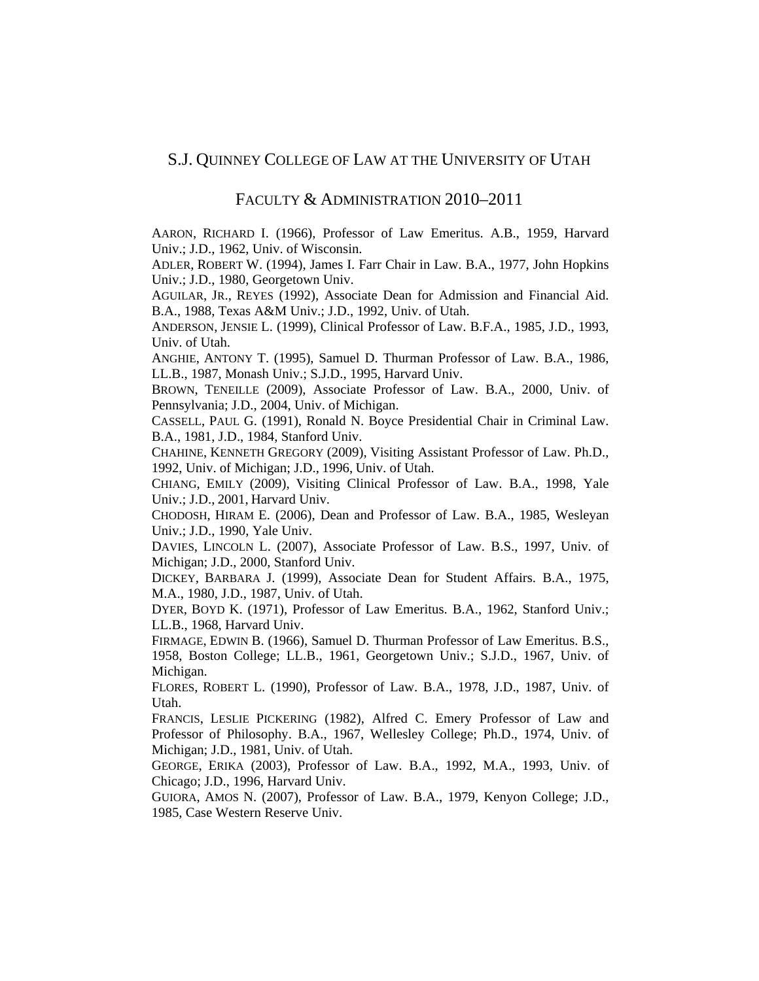## S.J. QUINNEY COLLEGE OF LAW AT THE UNIVERSITY OF UTAH

## FACULTY & ADMINISTRATION 2010–2011

AARON, RICHARD I. (1966), Professor of Law Emeritus. A.B., 1959, Harvard Univ.; J.D., 1962, Univ. of Wisconsin.

ADLER, ROBERT W. (1994), James I. Farr Chair in Law. B.A., 1977, John Hopkins Univ.; J.D., 1980, Georgetown Univ.

AGUILAR, JR., REYES (1992), Associate Dean for Admission and Financial Aid. B.A., 1988, Texas A&M Univ.; J.D., 1992, Univ. of Utah.

ANDERSON, JENSIE L. (1999), Clinical Professor of Law. B.F.A., 1985, J.D., 1993, Univ. of Utah.

ANGHIE, ANTONY T. (1995), Samuel D. Thurman Professor of Law. B.A., 1986, LL.B., 1987, Monash Univ.; S.J.D., 1995, Harvard Univ.

BROWN, TENEILLE (2009), Associate Professor of Law. B.A., 2000, Univ. of Pennsylvania; J.D., 2004, Univ. of Michigan.

CASSELL, PAUL G. (1991), Ronald N. Boyce Presidential Chair in Criminal Law. B.A., 1981, J.D., 1984, Stanford Univ.

CHAHINE, KENNETH GREGORY (2009), Visiting Assistant Professor of Law. Ph.D., 1992, Univ. of Michigan; J.D., 1996, Univ. of Utah.

CHIANG, EMILY (2009), Visiting Clinical Professor of Law. B.A., 1998, Yale Univ.; J.D., 2001, Harvard Univ.

CHODOSH, HIRAM E. (2006), Dean and Professor of Law. B.A., 1985, Wesleyan Univ.; J.D., 1990, Yale Univ.

DAVIES, LINCOLN L. (2007), Associate Professor of Law. B.S., 1997, Univ. of Michigan; J.D., 2000, Stanford Univ.

DICKEY, BARBARA J. (1999), Associate Dean for Student Affairs. B.A., 1975, M.A., 1980, J.D., 1987, Univ. of Utah.

DYER, BOYD K. (1971), Professor of Law Emeritus. B.A., 1962, Stanford Univ.; LL.B., 1968, Harvard Univ.

FIRMAGE, EDWIN B. (1966), Samuel D. Thurman Professor of Law Emeritus. B.S., 1958, Boston College; LL.B., 1961, Georgetown Univ.; S.J.D., 1967, Univ. of Michigan.

FLORES, ROBERT L. (1990), Professor of Law. B.A., 1978, J.D., 1987, Univ. of Utah.

FRANCIS, LESLIE PICKERING (1982), Alfred C. Emery Professor of Law and Professor of Philosophy. B.A., 1967, Wellesley College; Ph.D., 1974, Univ. of Michigan; J.D., 1981, Univ. of Utah.

GEORGE, ERIKA (2003), Professor of Law. B.A., 1992, M.A., 1993, Univ. of Chicago; J.D., 1996, Harvard Univ.

GUIORA, AMOS N. (2007), Professor of Law. B.A., 1979, Kenyon College; J.D., 1985, Case Western Reserve Univ.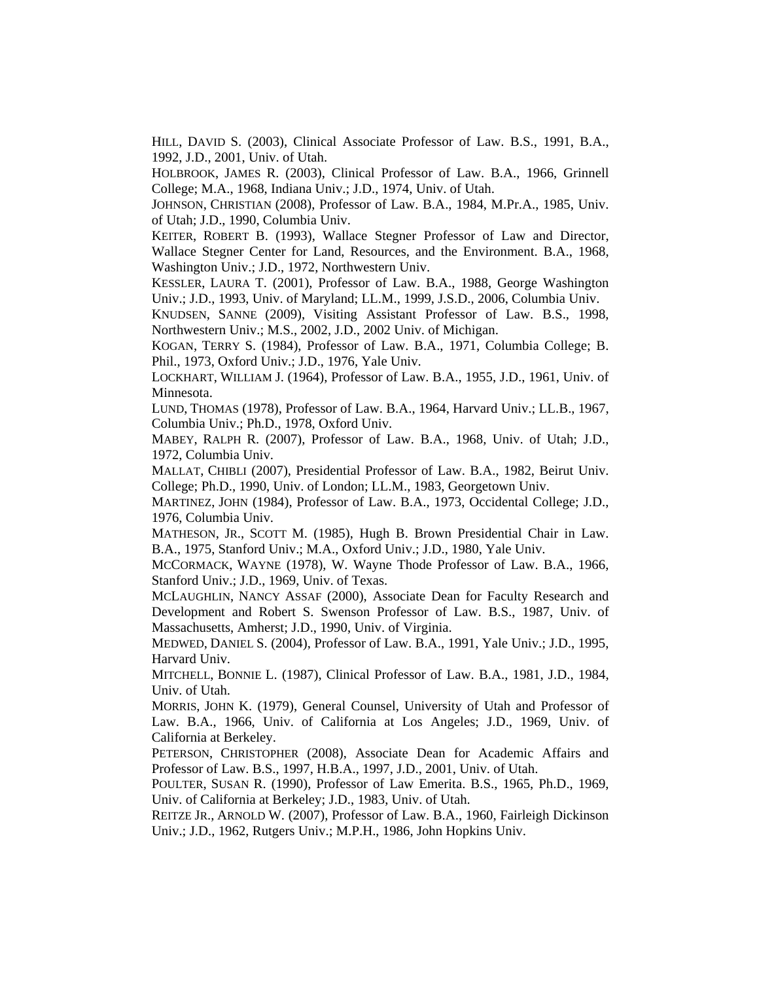HILL, DAVID S. (2003), Clinical Associate Professor of Law. B.S., 1991, B.A., 1992, J.D., 2001, Univ. of Utah.

HOLBROOK, JAMES R. (2003), Clinical Professor of Law. B.A., 1966, Grinnell College; M.A., 1968, Indiana Univ.; J.D., 1974, Univ. of Utah.

JOHNSON, CHRISTIAN (2008), Professor of Law. B.A., 1984, M.Pr.A., 1985, Univ. of Utah; J.D., 1990, Columbia Univ.

KEITER, ROBERT B. (1993), Wallace Stegner Professor of Law and Director, Wallace Stegner Center for Land, Resources, and the Environment. B.A., 1968, Washington Univ.; J.D., 1972, Northwestern Univ.

KESSLER, LAURA T. (2001), Professor of Law. B.A., 1988, George Washington Univ.; J.D., 1993, Univ. of Maryland; LL.M., 1999, J.S.D., 2006, Columbia Univ.

KNUDSEN, SANNE (2009), Visiting Assistant Professor of Law. B.S., 1998, Northwestern Univ.; M.S., 2002, J.D., 2002 Univ. of Michigan.

KOGAN, TERRY S. (1984), Professor of Law. B.A., 1971, Columbia College; B. Phil., 1973, Oxford Univ.; J.D., 1976, Yale Univ.

LOCKHART, WILLIAM J. (1964), Professor of Law. B.A., 1955, J.D., 1961, Univ. of Minnesota.

LUND, THOMAS (1978), Professor of Law. B.A., 1964, Harvard Univ.; LL.B., 1967, Columbia Univ.; Ph.D., 1978, Oxford Univ.

MABEY, RALPH R. (2007), Professor of Law. B.A., 1968, Univ. of Utah; J.D., 1972, Columbia Univ.

MALLAT, CHIBLI (2007), Presidential Professor of Law. B.A., 1982, Beirut Univ. College; Ph.D., 1990, Univ. of London; LL.M., 1983, Georgetown Univ.

MARTINEZ, JOHN (1984), Professor of Law. B.A., 1973, Occidental College; J.D., 1976, Columbia Univ.

MATHESON, JR., SCOTT M. (1985), Hugh B. Brown Presidential Chair in Law. B.A., 1975, Stanford Univ.; M.A., Oxford Univ.; J.D., 1980, Yale Univ.

MCCORMACK, WAYNE (1978), W. Wayne Thode Professor of Law. B.A., 1966, Stanford Univ.; J.D., 1969, Univ. of Texas.

MCLAUGHLIN, NANCY ASSAF (2000), Associate Dean for Faculty Research and Development and Robert S. Swenson Professor of Law. B.S., 1987, Univ. of Massachusetts, Amherst; J.D., 1990, Univ. of Virginia.

MEDWED, DANIEL S. (2004), Professor of Law. B.A., 1991, Yale Univ.; J.D., 1995, Harvard Univ.

MITCHELL, BONNIE L. (1987), Clinical Professor of Law. B.A., 1981, J.D., 1984, Univ. of Utah.

MORRIS, JOHN K. (1979), General Counsel, University of Utah and Professor of Law. B.A., 1966, Univ. of California at Los Angeles; J.D., 1969, Univ. of California at Berkeley.

PETERSON, CHRISTOPHER (2008), Associate Dean for Academic Affairs and Professor of Law. B.S., 1997, H.B.A., 1997, J.D., 2001, Univ. of Utah.

POULTER, SUSAN R. (1990), Professor of Law Emerita. B.S., 1965, Ph.D., 1969, Univ. of California at Berkeley; J.D., 1983, Univ. of Utah.

REITZE JR., ARNOLD W. (2007), Professor of Law. B.A., 1960, Fairleigh Dickinson Univ.; J.D., 1962, Rutgers Univ.; M.P.H., 1986, John Hopkins Univ.